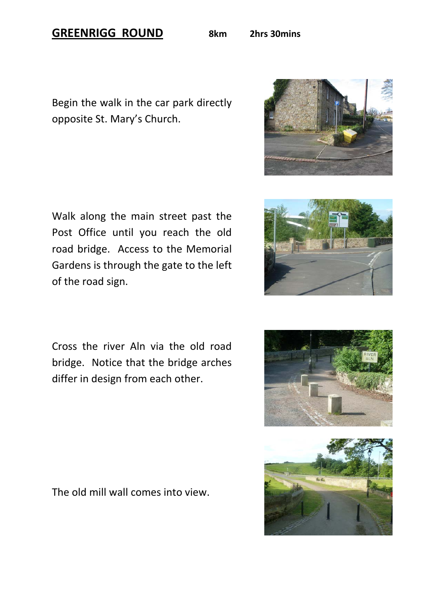## **GREENRIGG ROUND 8km 2hrs 30mins**

Begin the walk in the car park directly opposite St. Mary's Church.

Walk along the main street past the Post Office until you reach the old road bridge. Access to the Memorial Gardens is through the gate to the left of the road sign.

Cross the river Aln via the old road bridge. Notice that the bridge arches differ in design from each other.

The old mill wall comes into view.









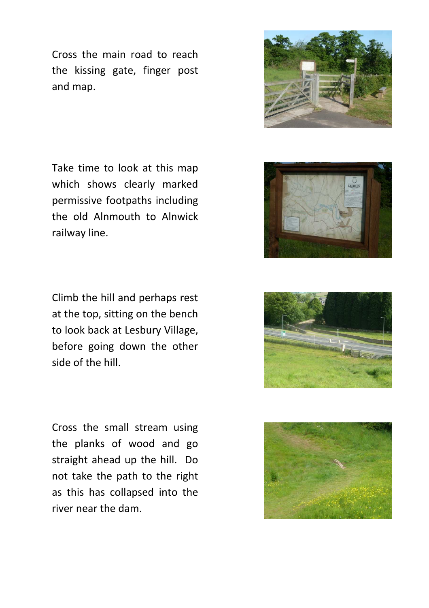Cross the main road to reach the kissing gate, finger post and map.

Take time to look at this map which shows clearly marked permissive footpaths including the old Alnmouth to Alnwick railway line.

Climb the hill and perhaps rest at the top, sitting on the bench to look back at Lesbury Village, before going down the other side of the hill.

Cross the small stream using the planks of wood and go straight ahead up the hill. Do not take the path to the right as this has collapsed into the river near the dam.







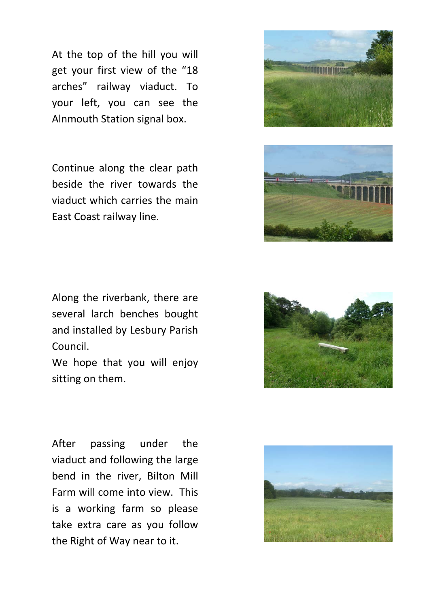At the top of the hill you will get your first view of the "18 arches" railway viaduct. To your left, you can see the Alnmouth Station signal box.

Continue along the clear path beside the river towards the viaduct which carries the main East Coast railway line.





Along the riverbank, there are several larch benches bought and installed by Lesbury Parish Council.

We hope that you will enjoy sitting on them.



After passing under the viaduct and following the large bend in the river, Bilton Mill Farm will come into view. This is a working farm so please take extra care as you follow the Right of Way near to it.

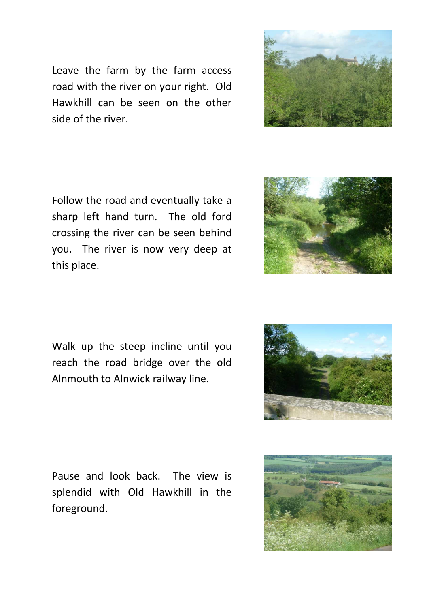Leave the farm by the farm access road with the river on your right. Old Hawkhill can be seen on the other side of the river.



Follow the road and eventually take a sharp left hand turn. The old ford crossing the river can be seen behind you. The river is now very deep at this place.



Walk up the steep incline until you reach the road bridge over the old Alnmouth to Alnwick railway line.



Pause and look back. The view is splendid with Old Hawkhill in the foreground.